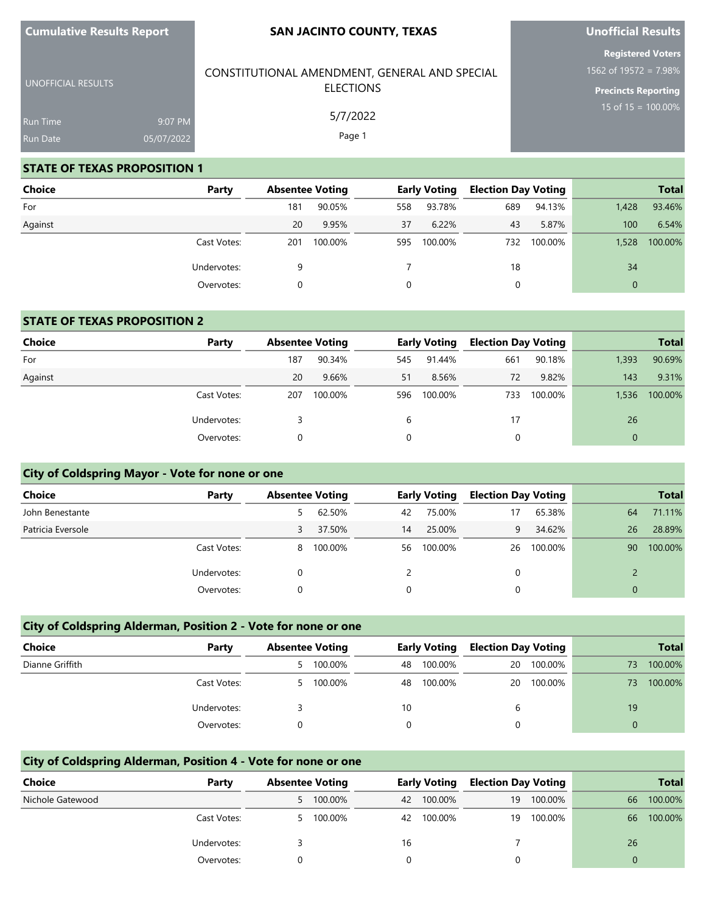UNOFFICIAL RESULTS

### **SAN JACINTO COUNTY, TEXAS**

CONSTITUTIONAL AMENDMENT, GENERAL AND SPECIAL ELECTIONS

> 5/7/2022 Page 1

## **Unofficial Results**

**Registered Voters** 1562 of 19572 = 7.98%

**Precincts Reporting** 15 of 15 = 100.00%

Run Time 9:07 PM 05/07/2022

### **STATE OF TEXAS PROPOSITION 1**

| <b>Choice</b> | Party       |     | <b>Absentee Voting</b> |     | <b>Early Voting</b> | <b>Election Day Voting</b> |         |              | <b>Total</b> |
|---------------|-------------|-----|------------------------|-----|---------------------|----------------------------|---------|--------------|--------------|
| For           |             | 181 | 90.05%                 | 558 | 93.78%              | 689                        | 94.13%  | 1,428        | 93.46%       |
| Against       |             | 20  | 9.95%                  | 37  | 6.22%               | 43                         | 5.87%   | 100          | 6.54%        |
|               | Cast Votes: | 201 | 100.00%                | 595 | 100.00%             | 732                        | 100.00% | 1,528        | 100.00%      |
|               | Undervotes: | 9   |                        |     |                     | 18                         |         | 34           |              |
|               | Overvotes:  |     |                        | 0   |                     | 0                          |         | $\mathbf{0}$ |              |

### **STATE OF TEXAS PROPOSITION 2**

| <b>Choice</b> | Party       | <b>Absentee Voting</b> |         |     | <b>Early Voting</b> | <b>Election Day Voting</b> |         |          | <b>Total</b> |
|---------------|-------------|------------------------|---------|-----|---------------------|----------------------------|---------|----------|--------------|
| For           |             | 187                    | 90.34%  | 545 | 91.44%              | 661                        | 90.18%  | 1,393    | 90.69%       |
| Against       |             | 20                     | 9.66%   | 51  | 8.56%               | 72                         | 9.82%   | 143      | 9.31%        |
|               | Cast Votes: | 207                    | 100.00% | 596 | 100.00%             | 733                        | 100.00% | 1,536    | 100.00%      |
|               | Undervotes: |                        |         | b   |                     | 17                         |         | 26       |              |
|               | Overvotes:  |                        |         | 0   |                     |                            |         | $\Omega$ |              |

### **City of Coldspring Mayor - Vote for none or one**

| Choice            | Party       | <b>Absentee Voting</b> |         |    | <b>Early Voting</b> | <b>Election Day Voting</b> |         |    | <b>Total</b> |
|-------------------|-------------|------------------------|---------|----|---------------------|----------------------------|---------|----|--------------|
| John Benestante   |             |                        | 62.50%  | 42 | 75.00%              | 17                         | 65.38%  | 64 | 71.11%       |
| Patricia Eversole |             | 3                      | 37.50%  | 14 | 25.00%              | 9                          | 34.62%  | 26 | 28.89%       |
|                   | Cast Votes: | 8                      | 100.00% | 56 | 100.00%             | 26                         | 100.00% | 90 | 100.00%      |
|                   | Undervotes: |                        |         |    |                     |                            |         |    |              |
|                   | Overvotes:  |                        |         |    |                     |                            |         |    |              |

### **City of Coldspring Alderman, Position 2 - Vote for none or one**

| Choice          | Party       | <b>Absentee Voting</b> |         | <b>Early Voting</b> |         | <b>Election Day Voting</b> |         |    | <b>Total</b> |
|-----------------|-------------|------------------------|---------|---------------------|---------|----------------------------|---------|----|--------------|
| Dianne Griffith |             | 5.                     | 100.00% | 48                  | 100.00% | 20                         | 100.00% | 73 | 100.00%      |
|                 | Cast Votes: | 5.                     | 100.00% | 48                  | 100.00% | 20                         | 100.00% | 73 | 100.00%      |
|                 | Undervotes: |                        |         | 10                  |         | 6                          |         | 19 |              |
|                 | Overvotes:  |                        |         |                     |         |                            |         |    |              |

## **City of Coldspring Alderman, Position 4 - Vote for none or one**

| Choice           | Party       | <b>Absentee Voting</b> |           | <b>Early Voting</b> |         | <b>Election Day Voting</b> |            |          | Total   |
|------------------|-------------|------------------------|-----------|---------------------|---------|----------------------------|------------|----------|---------|
| Nichole Gatewood |             | 5.                     | 100.00%   | 42                  | 100.00% | 19                         | 100.00%    | 66       | 100.00% |
|                  | Cast Votes: |                        | 5 100.00% | 42                  | 100.00% |                            | 19 100.00% | 66       | 100.00% |
|                  | Undervotes: |                        |           | 16                  |         |                            |            | 26       |         |
|                  | Overvotes:  |                        |           |                     |         |                            |            | $\Omega$ |         |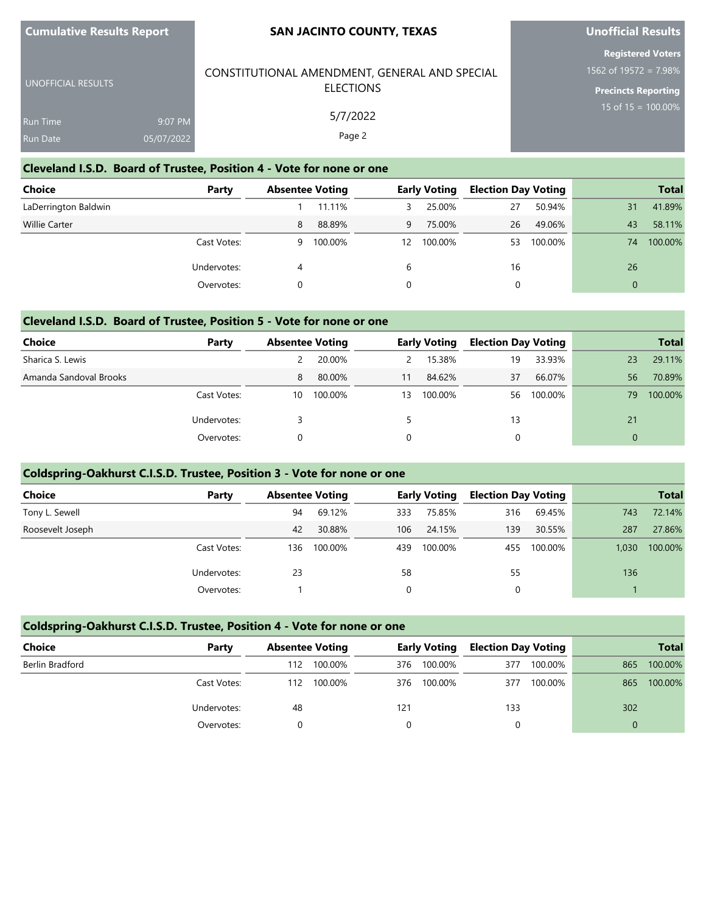### **SAN JACINTO COUNTY, TEXAS**

# **Unofficial Results**

**Registered Voters** 1562 of 19572 = 7.98%

**Precincts Reporting**

15 of 15 = 100.00%

#### **Cleveland I.S.D. Board of Trustee, Position 4 - Vote for none or one** UNOFFICIAL RESULTS Run Time Run Date 9:07 PM 05/07/2022 CONSTITUTIONAL AMENDMENT, GENERAL AND SPECIAL ELECTIONS 5/7/2022 Page 2

# **Choice Party Absentee Voting Early Voting Election Day Voting Total** LaDerrington Baldwin 2001 1 2002 1 12:00 1 11.11% 3 25.00% 2008 27 27 2014 1.89%

| Willie Carter |             | $\mathsf{R}$ | 88.89%  |    | 75.00%  | 26 | 49.06%  | 43 | 58.11%  |
|---------------|-------------|--------------|---------|----|---------|----|---------|----|---------|
|               | Cast Votes: | Q            | 100.00% | 12 | 100.00% | 53 | 100.00% | 74 | 100.00% |
|               | Undervotes: |              |         |    |         | 16 |         | 26 |         |
|               | Overvotes:  |              |         |    |         |    |         |    |         |

## **Cleveland I.S.D. Board of Trustee, Position 5 - Vote for none or one**

| Choice                 | Party       | <b>Absentee Voting</b> |         |    | <b>Early Voting</b> | <b>Election Day Voting</b> |         |    | <b>Total</b> |
|------------------------|-------------|------------------------|---------|----|---------------------|----------------------------|---------|----|--------------|
| Sharica S. Lewis       |             |                        | 20.00%  | 2  | 15.38%              | 19                         | 33.93%  | 23 | 29.11%       |
| Amanda Sandoval Brooks |             | 8                      | 80.00%  | 11 | 84.62%              | 37                         | 66.07%  | 56 | 70.89%       |
|                        | Cast Votes: | 10                     | 100.00% | 13 | 100.00%             | 56                         | 100.00% | 79 | 100.00%      |
|                        | Undervotes: |                        |         |    |                     | 13                         |         | 21 |              |
|                        | Overvotes:  |                        |         | 0  |                     |                            |         | 0  |              |

### **Coldspring-Oakhurst C.I.S.D. Trustee, Position 3 - Vote for none or one**

| Choice           | Party       | <b>Absentee Voting</b> |         |     | <b>Early Voting</b> | <b>Election Day Voting</b> |         |       | <b>Total</b> |
|------------------|-------------|------------------------|---------|-----|---------------------|----------------------------|---------|-------|--------------|
| Tony L. Sewell   |             | 94                     | 69.12%  | 333 | 75.85%              | 316                        | 69.45%  | 743   | 72.14%       |
| Roosevelt Joseph |             | 42                     | 30.88%  | 106 | 24.15%              | 139                        | 30.55%  | 287   | 27.86%       |
|                  | Cast Votes: | 136                    | 100.00% | 439 | 100.00%             | 455                        | 100.00% | 1.030 | 100.00%      |
|                  | Undervotes: | 23                     |         | 58  |                     | 55                         |         | 136   |              |
|                  | Overvotes:  |                        |         | 0   |                     | 0                          |         |       |              |

### **Coldspring-Oakhurst C.I.S.D. Trustee, Position 4 - Vote for none or one**

| <b>Choice</b>   | Party       | <b>Absentee Voting</b> |         | <b>Early Voting</b> |         | <b>Election Day Voting</b> |         |          | <b>Total</b> |
|-----------------|-------------|------------------------|---------|---------------------|---------|----------------------------|---------|----------|--------------|
| Berlin Bradford |             | 112                    | 100.00% | 376                 | 100.00% | 377                        | 100.00% | 865      | 100.00%      |
|                 | Cast Votes: | 112                    | 100.00% | 376                 | 100.00% | 377                        | 100.00% | 865      | 100.00%      |
|                 | Undervotes: | 48                     |         | 121                 |         | 133                        |         | 302      |              |
|                 | Overvotes:  |                        |         |                     |         |                            |         | $\Omega$ |              |